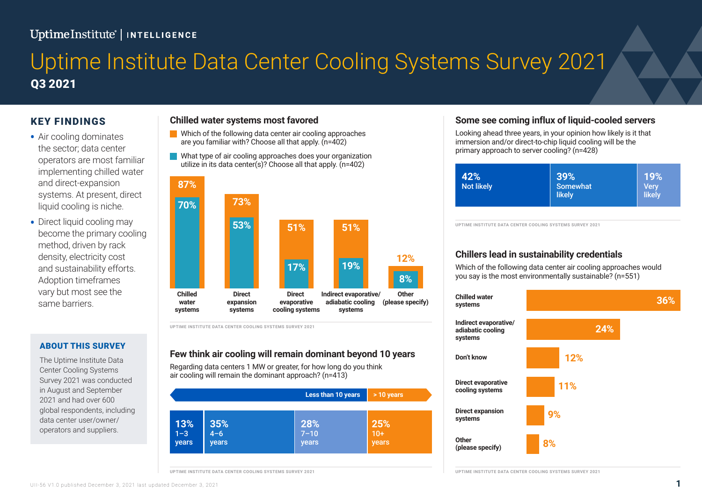# UptimeInstitute<sup>'</sup> | INTELLIGENCE

# Q3 2021 Uptime Institute Data Center Cooling Systems Survey 2021

### KEY FINDINGS

- Air cooling dominates the sector; data center operators are most familiar implementing chilled water and direct-expansion systems. At present, direct liquid cooling is niche.
- Direct liquid cooling may become the primary cooling method, driven by rack density, electricity cost and sustainability efforts. Adoption timeframes vary but most see the same barriers.

### **Chilled water systems most favored**

- Which of the following data center air cooling approaches are you familiar with? Choose all that apply. (n=402)
- What type of air cooling approaches does your organization utilize in its data center(s)? Choose all that apply. (n=402)



**UPTIME INSTITUTE DATA CENTER COOLING SYSTEMS SURVEY 2021**

### ABOUT THIS SURVEY

The Uptime Institute Data Center Cooling Systems Survey 2021 was conducted in August and September 2021 and had over 600 global respondents, including data center user/owner/ operators and suppliers.

### **Few think air cooling will remain dominant beyond 10 years**

Regarding data centers 1 MW or greater, for how long do you think air cooling will remain the dominant approach? (n=413)

|                         |                       | Less than 10 years       | $>10$ years           |
|-------------------------|-----------------------|--------------------------|-----------------------|
| 13%<br>$1 - 3$<br>years | $35%$<br>4-6<br>years | 28%<br>$7 - 10$<br>years | 25%<br>$10+$<br>years |

**UPTIME INSTITUTE DATA CENTER COOLING SYSTEMS SURVEY 2021**

### **Some see coming influx of liquid-cooled servers**

Looking ahead three years, in your opinion how likely is it that immersion and/or direct-to-chip liquid cooling will be the primary approach to server cooling? (n=428)



**UPTIME INSTITUTE DATA CENTER COOLING SYSTEMS SURVEY 2021**

### **Chillers lead in sustainability credentials**

Which of the following data center air cooling approaches would you say is the most environmentally sustainable? (n=551)



**UPTIME INSTITUTE DATA CENTER COOLING SYSTEMS SURVEY 2021**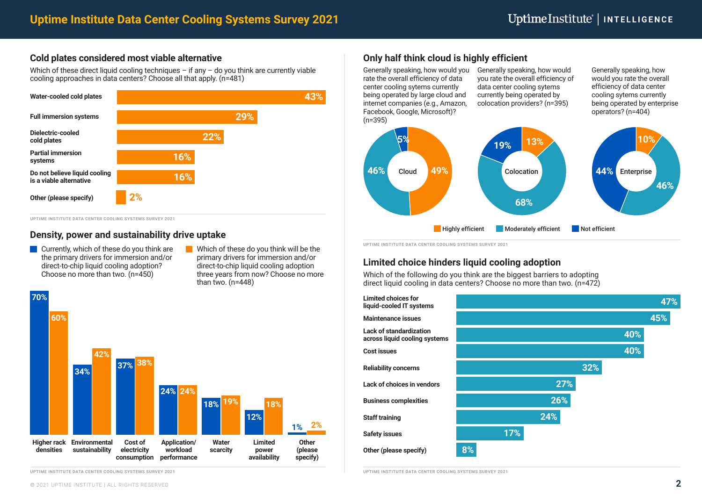### **Cold plates considered most viable alternative**

Which of these direct liquid cooling techniques – if any – do you think are currently viable cooling approaches in data centers? Choose all that apply. (n=481)



**UPTIME INSTITUTE DATA CENTER COOLING SYSTEMS SURVEY 2021**

- **Currently, which of these do you think are** the primary drivers for immersion and/or direct-to-chip liquid cooling adoption? Choose no more than two. (n=450)
- Which of these do you think will be the primary drivers for immersion and/or direct-to-chip liquid cooling adoption three years from now? Choose no more than two. (n=448)



**UPTIME INSTITUTE DATA CENTER COOLING SYSTEMS SURVEY 2021**

## **Only half think cloud is highly efficient**

Generally speaking, how would you rate the overall efficiency of data center cooling sytems currently being operated by large cloud and internet companies (e.g., Amazon, Facebook, Google, Microsoft)?  $(n=395)$ 

Generally speaking, how would you rate the overall efficiency of data center cooling sytems currently being operated by colocation providers? (n=395)

Generally speaking, how would you rate the overall efficiency of data center cooling sytems currently being operated by enterprise operators? (n=404)



**UPTIME INSTITUTE DATA CENTER COOLING SYSTEMS SURVEY 2021**

### **Limited choice hinders liquid cooling adoption**

Which of the following do you think are the biggest barriers to adopting direct liquid cooling in data centers? Choose no more than two. (n=472)



**UPTIME INSTITUTE DATA CENTER COOLING SYSTEMS SURVEY 2021**